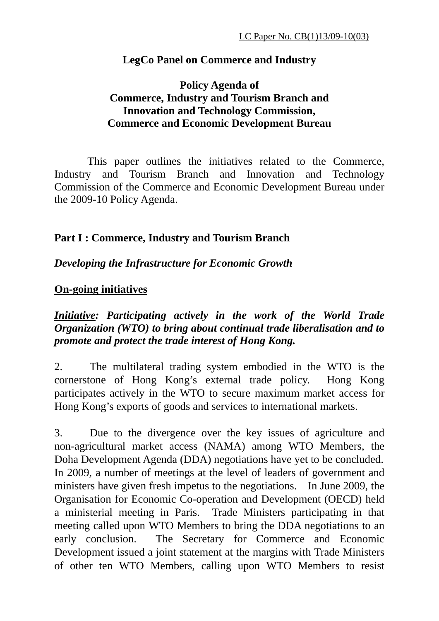#### **LegCo Panel on Commerce and Industry**

### **Policy Agenda of Commerce, Industry and Tourism Branch and Innovation and Technology Commission, Commerce and Economic Development Bureau**

This paper outlines the initiatives related to the Commerce, Industry and Tourism Branch and Innovation and Technology Commission of the Commerce and Economic Development Bureau under the 2009-10 Policy Agenda.

#### **Part I : Commerce, Industry and Tourism Branch**

#### *Developing the Infrastructure for Economic Growth*

#### **On-going initiatives**

*Initiative: Participating actively in the work of the World Trade Organization (WTO) to bring about continual trade liberalisation and to promote and protect the trade interest of Hong Kong.* 

2. The multilateral trading system embodied in the WTO is the cornerstone of Hong Kong's external trade policy. Hong Kong participates actively in the WTO to secure maximum market access for Hong Kong's exports of goods and services to international markets.

3. Due to the divergence over the key issues of agriculture and non-agricultural market access (NAMA) among WTO Members, the Doha Development Agenda (DDA) negotiations have yet to be concluded. In 2009, a number of meetings at the level of leaders of government and ministers have given fresh impetus to the negotiations. In June 2009, the Organisation for Economic Co-operation and Development (OECD) held a ministerial meeting in Paris. Trade Ministers participating in that meeting called upon WTO Members to bring the DDA negotiations to an early conclusion. The Secretary for Commerce and Economic Development issued a joint statement at the margins with Trade Ministers of other ten WTO Members, calling upon WTO Members to resist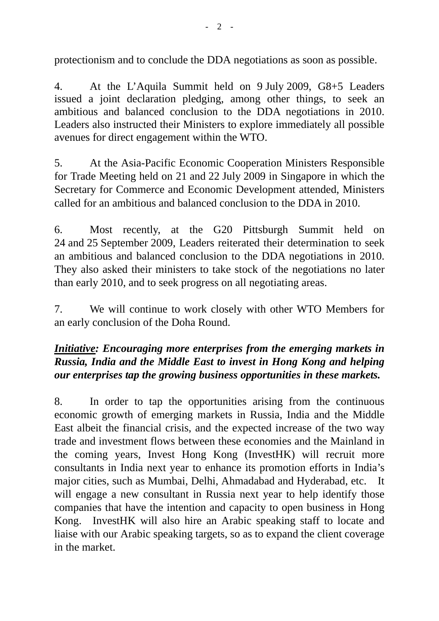protectionism and to conclude the DDA negotiations as soon as possible.

4. At the L'Aquila Summit held on 9 July 2009, G8+5 Leaders issued a joint declaration pledging, among other things, to seek an ambitious and balanced conclusion to the DDA negotiations in 2010. Leaders also instructed their Ministers to explore immediately all possible avenues for direct engagement within the WTO.

5. At the Asia-Pacific Economic Cooperation Ministers Responsible for Trade Meeting held on 21 and 22 July 2009 in Singapore in which the Secretary for Commerce and Economic Development attended, Ministers called for an ambitious and balanced conclusion to the DDA in 2010.

6. Most recently, at the G20 Pittsburgh Summit held on 24 and 25 September 2009, Leaders reiterated their determination to seek an ambitious and balanced conclusion to the DDA negotiations in 2010. They also asked their ministers to take stock of the negotiations no later than early 2010, and to seek progress on all negotiating areas.

7. We will continue to work closely with other WTO Members for an early conclusion of the Doha Round.

# *Initiative: Encouraging more enterprises from the emerging markets in Russia, India and the Middle East to invest in Hong Kong and helping our enterprises tap the growing business opportunities in these markets.*

8. In order to tap the opportunities arising from the continuous economic growth of emerging markets in Russia, India and the Middle East albeit the financial crisis, and the expected increase of the two way trade and investment flows between these economies and the Mainland in the coming years, Invest Hong Kong (InvestHK) will recruit more consultants in India next year to enhance its promotion efforts in India's major cities, such as Mumbai, Delhi, Ahmadabad and Hyderabad, etc. It will engage a new consultant in Russia next year to help identify those companies that have the intention and capacity to open business in Hong Kong. InvestHK will also hire an Arabic speaking staff to locate and liaise with our Arabic speaking targets, so as to expand the client coverage in the market.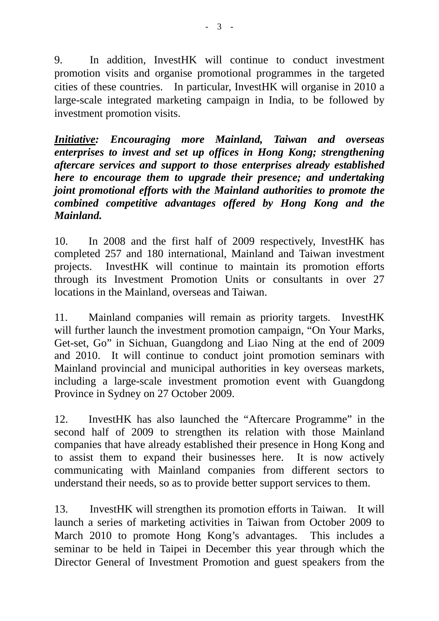9. In addition, InvestHK will continue to conduct investment promotion visits and organise promotional programmes in the targeted cities of these countries. In particular, InvestHK will organise in 2010 a large-scale integrated marketing campaign in India, to be followed by investment promotion visits.

*Initiative: Encouraging more Mainland, Taiwan and overseas enterprises to invest and set up offices in Hong Kong; strengthening aftercare services and support to those enterprises already established here to encourage them to upgrade their presence; and undertaking joint promotional efforts with the Mainland authorities to promote the combined competitive advantages offered by Hong Kong and the Mainland.* 

10. In 2008 and the first half of 2009 respectively, InvestHK has completed 257 and 180 international, Mainland and Taiwan investment projects. InvestHK will continue to maintain its promotion efforts through its Investment Promotion Units or consultants in over 27 locations in the Mainland, overseas and Taiwan.

11. Mainland companies will remain as priority targets. InvestHK will further launch the investment promotion campaign, "On Your Marks, Get-set, Go" in Sichuan, Guangdong and Liao Ning at the end of 2009 and 2010. It will continue to conduct joint promotion seminars with Mainland provincial and municipal authorities in key overseas markets, including a large-scale investment promotion event with Guangdong Province in Sydney on 27 October 2009.

12. InvestHK has also launched the "Aftercare Programme" in the second half of 2009 to strengthen its relation with those Mainland companies that have already established their presence in Hong Kong and to assist them to expand their businesses here. It is now actively communicating with Mainland companies from different sectors to understand their needs, so as to provide better support services to them.

13. InvestHK will strengthen its promotion efforts in Taiwan. It will launch a series of marketing activities in Taiwan from October 2009 to March 2010 to promote Hong Kong's advantages. This includes a seminar to be held in Taipei in December this year through which the Director General of Investment Promotion and guest speakers from the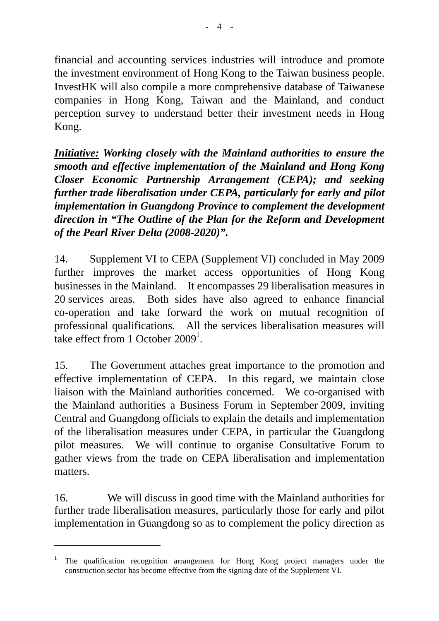financial and accounting services industries will introduce and promote the investment environment of Hong Kong to the Taiwan business people. InvestHK will also compile a more comprehensive database of Taiwanese companies in Hong Kong, Taiwan and the Mainland, and conduct perception survey to understand better their investment needs in Hong Kong.

*Initiative: Working closely with the Mainland authorities to ensure the smooth and effective implementation of the Mainland and Hong Kong Closer Economic Partnership Arrangement (CEPA); and seeking further trade liberalisation under CEPA, particularly for early and pilot implementation in Guangdong Province to complement the development direction in "The Outline of the Plan for the Reform and Development of the Pearl River Delta (2008-2020)".* 

14. Supplement VI to CEPA (Supplement VI) concluded in May 2009 further improves the market access opportunities of Hong Kong businesses in the Mainland. It encompasses 29 liberalisation measures in 20 services areas. Both sides have also agreed to enhance financial co-operation and take forward the work on mutual recognition of professional qualifications. All the services liberalisation measures will take effect from 1 October  $2009<sup>1</sup>$ .

15. The Government attaches great importance to the promotion and effective implementation of CEPA. In this regard, we maintain close liaison with the Mainland authorities concerned. We co-organised with the Mainland authorities a Business Forum in September 2009, inviting Central and Guangdong officials to explain the details and implementation of the liberalisation measures under CEPA, in particular the Guangdong pilot measures. We will continue to organise Consultative Forum to gather views from the trade on CEPA liberalisation and implementation matters.

16. We will discuss in good time with the Mainland authorities for further trade liberalisation measures, particularly those for early and pilot implementation in Guangdong so as to complement the policy direction as

 $\overline{a}$ 

<sup>1</sup> The qualification recognition arrangement for Hong Kong project managers under the construction sector has become effective from the signing date of the Supplement VI.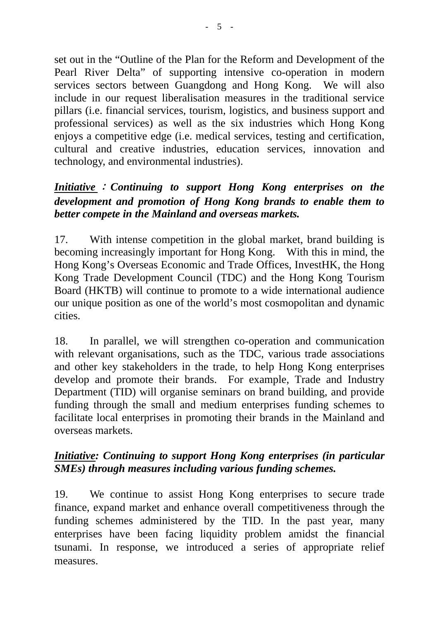set out in the "Outline of the Plan for the Reform and Development of the Pearl River Delta" of supporting intensive co-operation in modern services sectors between Guangdong and Hong Kong. We will also include in our request liberalisation measures in the traditional service pillars (i.e. financial services, tourism, logistics, and business support and professional services) as well as the six industries which Hong Kong enjoys a competitive edge (i.e. medical services, testing and certification, cultural and creative industries, education services, innovation and technology, and environmental industries).

## *Initiative* : *Continuing to support Hong Kong enterprises on the development and promotion of Hong Kong brands to enable them to better compete in the Mainland and overseas markets.*

17. With intense competition in the global market, brand building is becoming increasingly important for Hong Kong. With this in mind, the Hong Kong's Overseas Economic and Trade Offices, InvestHK, the Hong Kong Trade Development Council (TDC) and the Hong Kong Tourism Board (HKTB) will continue to promote to a wide international audience our unique position as one of the world's most cosmopolitan and dynamic cities.

18. In parallel, we will strengthen co-operation and communication with relevant organisations, such as the TDC, various trade associations and other key stakeholders in the trade, to help Hong Kong enterprises develop and promote their brands. For example, Trade and Industry Department (TID) will organise seminars on brand building, and provide funding through the small and medium enterprises funding schemes to facilitate local enterprises in promoting their brands in the Mainland and overseas markets.

## *Initiative: Continuing to support Hong Kong enterprises (in particular SMEs) through measures including various funding schemes.*

19. We continue to assist Hong Kong enterprises to secure trade finance, expand market and enhance overall competitiveness through the funding schemes administered by the TID. In the past year, many enterprises have been facing liquidity problem amidst the financial tsunami. In response, we introduced a series of appropriate relief measures.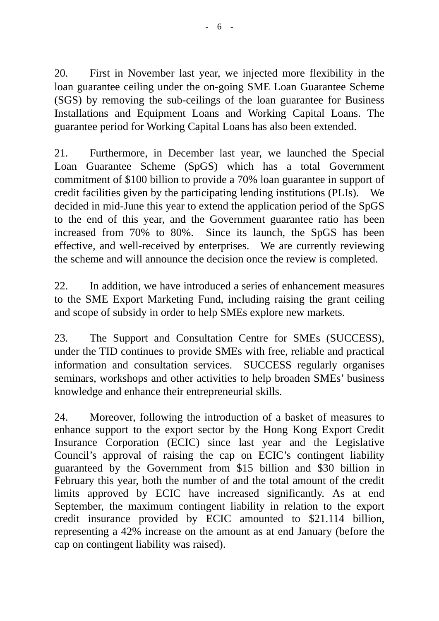20. First in November last year, we injected more flexibility in the loan guarantee ceiling under the on-going SME Loan Guarantee Scheme (SGS) by removing the sub-ceilings of the loan guarantee for Business Installations and Equipment Loans and Working Capital Loans. The guarantee period for Working Capital Loans has also been extended.

21. Furthermore, in December last year, we launched the Special Loan Guarantee Scheme (SpGS) which has a total Government commitment of \$100 billion to provide a 70% loan guarantee in support of credit facilities given by the participating lending institutions (PLIs). We decided in mid-June this year to extend the application period of the SpGS to the end of this year, and the Government guarantee ratio has been increased from 70% to 80%. Since its launch, the SpGS has been effective, and well-received by enterprises. We are currently reviewing the scheme and will announce the decision once the review is completed.

22. In addition, we have introduced a series of enhancement measures to the SME Export Marketing Fund, including raising the grant ceiling and scope of subsidy in order to help SMEs explore new markets.

23. The Support and Consultation Centre for SMEs (SUCCESS), under the TID continues to provide SMEs with free, reliable and practical information and consultation services. SUCCESS regularly organises seminars, workshops and other activities to help broaden SMEs' business knowledge and enhance their entrepreneurial skills.

24. Moreover, following the introduction of a basket of measures to enhance support to the export sector by the Hong Kong Export Credit Insurance Corporation (ECIC) since last year and the Legislative Council's approval of raising the cap on ECIC's contingent liability guaranteed by the Government from \$15 billion and \$30 billion in February this year, both the number of and the total amount of the credit limits approved by ECIC have increased significantly. As at end September, the maximum contingent liability in relation to the export credit insurance provided by ECIC amounted to \$21.114 billion, representing a 42% increase on the amount as at end January (before the cap on contingent liability was raised).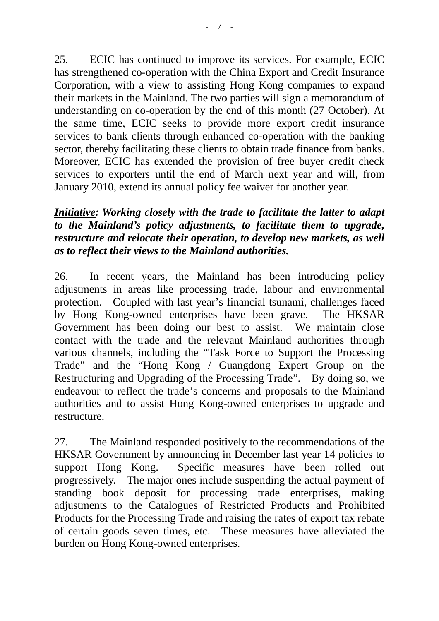25. ECIC has continued to improve its services. For example, ECIC has strengthened co-operation with the China Export and Credit Insurance Corporation, with a view to assisting Hong Kong companies to expand their markets in the Mainland. The two parties will sign a memorandum of understanding on co-operation by the end of this month (27 October). At the same time, ECIC seeks to provide more export credit insurance services to bank clients through enhanced co-operation with the banking sector, thereby facilitating these clients to obtain trade finance from banks. Moreover, ECIC has extended the provision of free buyer credit check services to exporters until the end of March next year and will, from January 2010, extend its annual policy fee waiver for another year.

## *Initiative: Working closely with the trade to facilitate the latter to adapt to the Mainland's policy adjustments, to facilitate them to upgrade, restructure and relocate their operation, to develop new markets, as well as to reflect their views to the Mainland authorities.*

26. In recent years, the Mainland has been introducing policy adjustments in areas like processing trade, labour and environmental protection. Coupled with last year's financial tsunami, challenges faced by Hong Kong-owned enterprises have been grave. The HKSAR Government has been doing our best to assist. We maintain close contact with the trade and the relevant Mainland authorities through various channels, including the "Task Force to Support the Processing Trade" and the "Hong Kong / Guangdong Expert Group on the Restructuring and Upgrading of the Processing Trade". By doing so, we endeavour to reflect the trade's concerns and proposals to the Mainland authorities and to assist Hong Kong-owned enterprises to upgrade and restructure.

27. The Mainland responded positively to the recommendations of the HKSAR Government by announcing in December last year 14 policies to support Hong Kong. Specific measures have been rolled out progressively. The major ones include suspending the actual payment of standing book deposit for processing trade enterprises, making adjustments to the Catalogues of Restricted Products and Prohibited Products for the Processing Trade and raising the rates of export tax rebate of certain goods seven times, etc. These measures have alleviated the burden on Hong Kong-owned enterprises.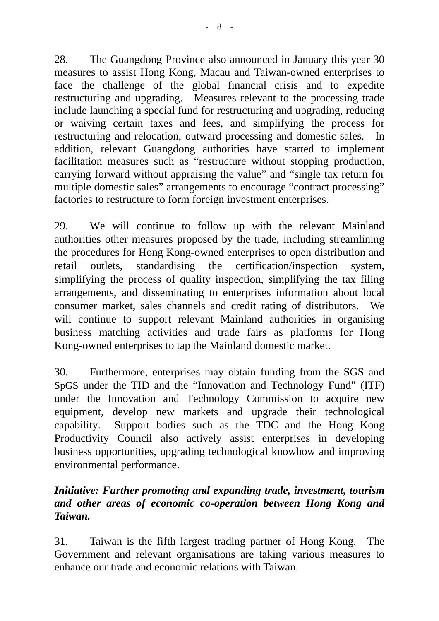28. The Guangdong Province also announced in January this year 30 measures to assist Hong Kong, Macau and Taiwan-owned enterprises to face the challenge of the global financial crisis and to expedite restructuring and upgrading. Measures relevant to the processing trade include launching a special fund for restructuring and upgrading, reducing or waiving certain taxes and fees, and simplifying the process for restructuring and relocation, outward processing and domestic sales. In addition, relevant Guangdong authorities have started to implement facilitation measures such as "restructure without stopping production, carrying forward without appraising the value" and "single tax return for multiple domestic sales" arrangements to encourage "contract processing" factories to restructure to form foreign investment enterprises.

29. We will continue to follow up with the relevant Mainland authorities other measures proposed by the trade, including streamlining the procedures for Hong Kong-owned enterprises to open distribution and retail outlets, standardising the certification/inspection system, simplifying the process of quality inspection, simplifying the tax filing arrangements, and disseminating to enterprises information about local consumer market, sales channels and credit rating of distributors. We will continue to support relevant Mainland authorities in organising business matching activities and trade fairs as platforms for Hong Kong-owned enterprises to tap the Mainland domestic market.

30. Furthermore, enterprises may obtain funding from the SGS and SpGS under the TID and the "Innovation and Technology Fund" (ITF) under the Innovation and Technology Commission to acquire new equipment, develop new markets and upgrade their technological capability. Support bodies such as the TDC and the Hong Kong Productivity Council also actively assist enterprises in developing business opportunities, upgrading technological knowhow and improving environmental performance.

## *Initiative: Further promoting and expanding trade, investment, tourism and other areas of economic co-operation between Hong Kong and Taiwan.*

31. Taiwan is the fifth largest trading partner of Hong Kong. The Government and relevant organisations are taking various measures to enhance our trade and economic relations with Taiwan.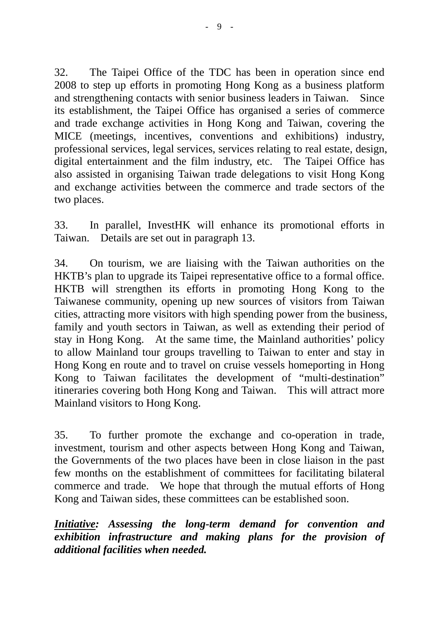32. The Taipei Office of the TDC has been in operation since end 2008 to step up efforts in promoting Hong Kong as a business platform and strengthening contacts with senior business leaders in Taiwan. Since its establishment, the Taipei Office has organised a series of commerce and trade exchange activities in Hong Kong and Taiwan, covering the MICE (meetings, incentives, conventions and exhibitions) industry, professional services, legal services, services relating to real estate, design, digital entertainment and the film industry, etc. The Taipei Office has also assisted in organising Taiwan trade delegations to visit Hong Kong and exchange activities between the commerce and trade sectors of the two places.

33. In parallel, InvestHK will enhance its promotional efforts in Taiwan. Details are set out in paragraph 13.

34. On tourism, we are liaising with the Taiwan authorities on the HKTB's plan to upgrade its Taipei representative office to a formal office. HKTB will strengthen its efforts in promoting Hong Kong to the Taiwanese community, opening up new sources of visitors from Taiwan cities, attracting more visitors with high spending power from the business, family and youth sectors in Taiwan, as well as extending their period of stay in Hong Kong. At the same time, the Mainland authorities' policy to allow Mainland tour groups travelling to Taiwan to enter and stay in Hong Kong en route and to travel on cruise vessels homeporting in Hong Kong to Taiwan facilitates the development of "multi-destination" itineraries covering both Hong Kong and Taiwan. This will attract more Mainland visitors to Hong Kong.

35. To further promote the exchange and co-operation in trade, investment, tourism and other aspects between Hong Kong and Taiwan, the Governments of the two places have been in close liaison in the past few months on the establishment of committees for facilitating bilateral commerce and trade. We hope that through the mutual efforts of Hong Kong and Taiwan sides, these committees can be established soon.

*Initiative: Assessing the long-term demand for convention and exhibition infrastructure and making plans for the provision of additional facilities when needed.*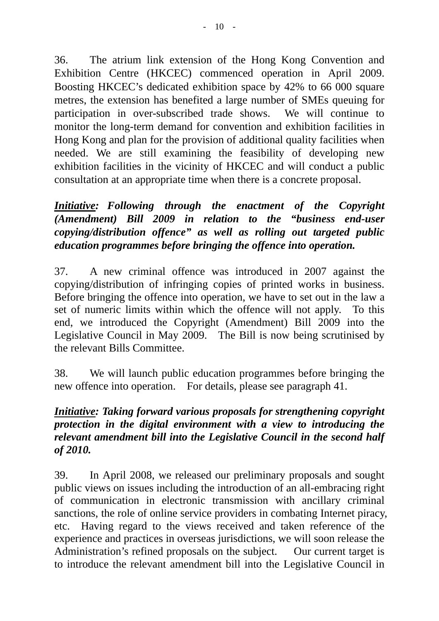36. The atrium link extension of the Hong Kong Convention and Exhibition Centre (HKCEC) commenced operation in April 2009. Boosting HKCEC's dedicated exhibition space by 42% to 66 000 square metres, the extension has benefited a large number of SMEs queuing for participation in over-subscribed trade shows. We will continue to monitor the long-term demand for convention and exhibition facilities in Hong Kong and plan for the provision of additional quality facilities when needed. We are still examining the feasibility of developing new exhibition facilities in the vicinity of HKCEC and will conduct a public consultation at an appropriate time when there is a concrete proposal.

*Initiative: Following through the enactment of the Copyright (Amendment) Bill 2009 in relation to the "business end-user copying/distribution offence" as well as rolling out targeted public education programmes before bringing the offence into operation.* 

37. A new criminal offence was introduced in 2007 against the copying/distribution of infringing copies of printed works in business. Before bringing the offence into operation, we have to set out in the law a set of numeric limits within which the offence will not apply. To this end, we introduced the Copyright (Amendment) Bill 2009 into the Legislative Council in May 2009. The Bill is now being scrutinised by the relevant Bills Committee.

38. We will launch public education programmes before bringing the new offence into operation. For details, please see paragraph 41.

## *Initiative: Taking forward various proposals for strengthening copyright protection in the digital environment with a view to introducing the relevant amendment bill into the Legislative Council in the second half of 2010.*

39. In April 2008, we released our preliminary proposals and sought public views on issues including the introduction of an all-embracing right of communication in electronic transmission with ancillary criminal sanctions, the role of online service providers in combating Internet piracy, etc. Having regard to the views received and taken reference of the experience and practices in overseas jurisdictions, we will soon release the Administration's refined proposals on the subject. Our current target is to introduce the relevant amendment bill into the Legislative Council in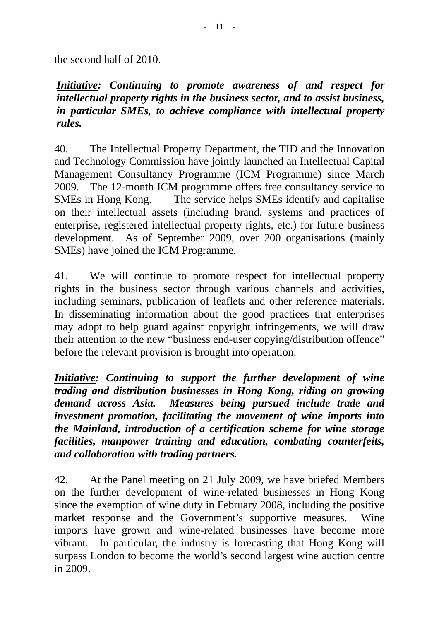the second half of 2010.

*Initiative: Continuing to promote awareness of and respect for intellectual property rights in the business sector, and to assist business, in particular SMEs, to achieve compliance with intellectual property rules.* 

40. The Intellectual Property Department, the TID and the Innovation and Technology Commission have jointly launched an Intellectual Capital Management Consultancy Programme (ICM Programme) since March 2009. The 12-month ICM programme offers free consultancy service to SMEs in Hong Kong. The service helps SMEs identify and capitalise on their intellectual assets (including brand, systems and practices of enterprise, registered intellectual property rights, etc.) for future business development. As of September 2009, over 200 organisations (mainly SMEs) have joined the ICM Programme.

41. We will continue to promote respect for intellectual property rights in the business sector through various channels and activities, including seminars, publication of leaflets and other reference materials. In disseminating information about the good practices that enterprises may adopt to help guard against copyright infringements, we will draw their attention to the new "business end-user copying/distribution offence" before the relevant provision is brought into operation.

*Initiative: Continuing to support the further development of wine trading and distribution businesses in Hong Kong, riding on growing demand across Asia. Measures being pursued include trade and investment promotion, facilitating the movement of wine imports into the Mainland, introduction of a certification scheme for wine storage facilities, manpower training and education, combating counterfeits, and collaboration with trading partners.* 

42. At the Panel meeting on 21 July 2009, we have briefed Members on the further development of wine-related businesses in Hong Kong since the exemption of wine duty in February 2008, including the positive market response and the Government's supportive measures. Wine imports have grown and wine-related businesses have become more vibrant. In particular, the industry is forecasting that Hong Kong will surpass London to become the world's second largest wine auction centre in 2009.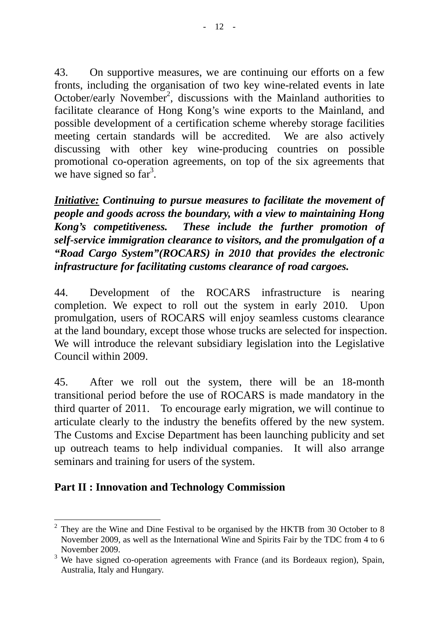43. On supportive measures, we are continuing our efforts on a few fronts, including the organisation of two key wine-related events in late October/early November<sup>2</sup>, discussions with the Mainland authorities to facilitate clearance of Hong Kong's wine exports to the Mainland, and possible development of a certification scheme whereby storage facilities meeting certain standards will be accredited. We are also actively discussing with other key wine-producing countries on possible promotional co-operation agreements, on top of the six agreements that we have signed so  $far<sup>3</sup>$ .

*Initiative: Continuing to pursue measures to facilitate the movement of people and goods across the boundary, with a view to maintaining Hong Kong's competitiveness. These include the further promotion of self-service immigration clearance to visitors, and the promulgation of a "Road Cargo System"(ROCARS) in 2010 that provides the electronic infrastructure for facilitating customs clearance of road cargoes.* 

44. Development of the ROCARS infrastructure is nearing completion. We expect to roll out the system in early 2010. Upon promulgation, users of ROCARS will enjoy seamless customs clearance at the land boundary, except those whose trucks are selected for inspection. We will introduce the relevant subsidiary legislation into the Legislative Council within 2009.

45. After we roll out the system, there will be an 18-month transitional period before the use of ROCARS is made mandatory in the third quarter of 2011. To encourage early migration, we will continue to articulate clearly to the industry the benefits offered by the new system. The Customs and Excise Department has been launching publicity and set up outreach teams to help individual companies. It will also arrange seminars and training for users of the system.

## **Part II : Innovation and Technology Commission**

 $\overline{a}$ 2 They are the Wine and Dine Festival to be organised by the HKTB from 30 October to 8 November 2009, as well as the International Wine and Spirits Fair by the TDC from 4 to 6 November 2009.

 $3$  We have signed co-operation agreements with France (and its Bordeaux region), Spain, Australia, Italy and Hungary.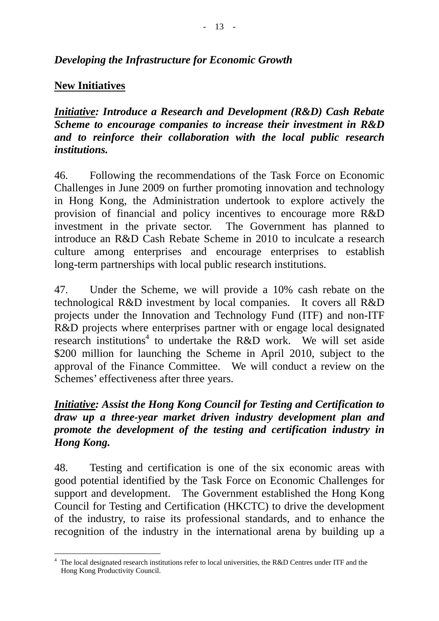## *Developing the Infrastructure for Economic Growth*

### **New Initiatives**

 $\overline{a}$ 

*Initiative: Introduce a Research and Development (R&D) Cash Rebate Scheme to encourage companies to increase their investment in R&D and to reinforce their collaboration with the local public research institutions.* 

46. Following the recommendations of the Task Force on Economic Challenges in June 2009 on further promoting innovation and technology in Hong Kong, the Administration undertook to explore actively the provision of financial and policy incentives to encourage more R&D investment in the private sector. The Government has planned to introduce an R&D Cash Rebate Scheme in 2010 to inculcate a research culture among enterprises and encourage enterprises to establish long-term partnerships with local public research institutions.

47. Under the Scheme, we will provide a 10% cash rebate on the technological R&D investment by local companies. It covers all R&D projects under the Innovation and Technology Fund (ITF) and non-ITF R&D projects where enterprises partner with or engage local designated research institutions<sup>4</sup> to undertake the R&D work. We will set aside \$200 million for launching the Scheme in April 2010, subject to the approval of the Finance Committee. We will conduct a review on the Schemes' effectiveness after three years.

## *Initiative: Assist the Hong Kong Council for Testing and Certification to draw up a three-year market driven industry development plan and promote the development of the testing and certification industry in Hong Kong.*

48. Testing and certification is one of the six economic areas with good potential identified by the Task Force on Economic Challenges for support and development. The Government established the Hong Kong Council for Testing and Certification (HKCTC) to drive the development of the industry, to raise its professional standards, and to enhance the recognition of the industry in the international arena by building up a

<sup>4</sup> The local designated research institutions refer to local universities, the R&D Centres under ITF and the Hong Kong Productivity Council.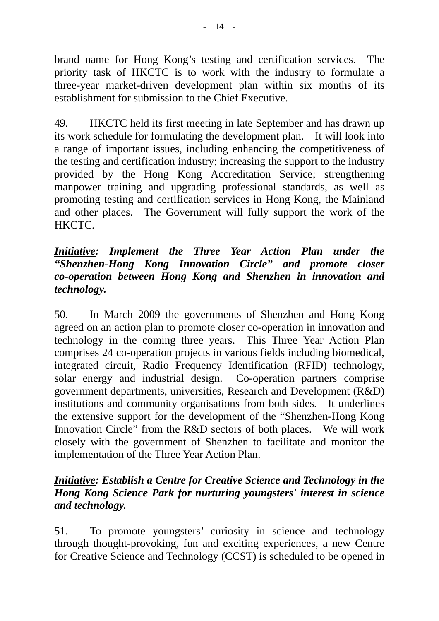brand name for Hong Kong's testing and certification services. The priority task of HKCTC is to work with the industry to formulate a three-year market-driven development plan within six months of its establishment for submission to the Chief Executive.

49. HKCTC held its first meeting in late September and has drawn up its work schedule for formulating the development plan. It will look into a range of important issues, including enhancing the competitiveness of the testing and certification industry; increasing the support to the industry provided by the Hong Kong Accreditation Service; strengthening manpower training and upgrading professional standards, as well as promoting testing and certification services in Hong Kong, the Mainland and other places. The Government will fully support the work of the HKCTC.

### *Initiative: Implement the Three Year Action Plan under the "Shenzhen-Hong Kong Innovation Circle" and promote closer co-operation between Hong Kong and Shenzhen in innovation and technology.*

50. In March 2009 the governments of Shenzhen and Hong Kong agreed on an action plan to promote closer co-operation in innovation and technology in the coming three years. This Three Year Action Plan comprises 24 co-operation projects in various fields including biomedical, integrated circuit, Radio Frequency Identification (RFID) technology, solar energy and industrial design. Co-operation partners comprise government departments, universities, Research and Development (R&D) institutions and community organisations from both sides. It underlines the extensive support for the development of the "Shenzhen-Hong Kong Innovation Circle" from the R&D sectors of both places. We will work closely with the government of Shenzhen to facilitate and monitor the implementation of the Three Year Action Plan.

## *Initiative: Establish a Centre for Creative Science and Technology in the Hong Kong Science Park for nurturing youngsters' interest in science and technology.*

51. To promote youngsters' curiosity in science and technology through thought-provoking, fun and exciting experiences, a new Centre for Creative Science and Technology (CCST) is scheduled to be opened in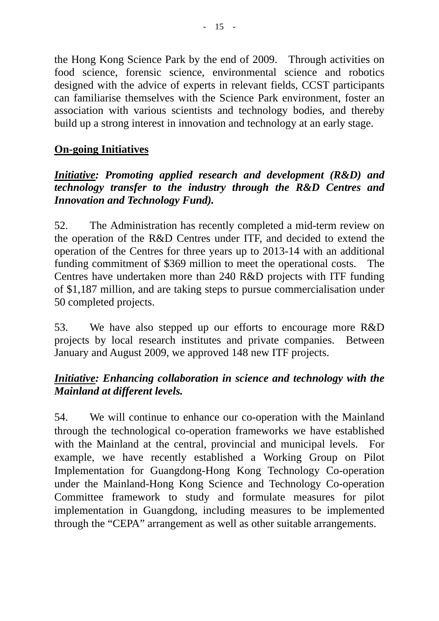the Hong Kong Science Park by the end of 2009. Through activities on food science, forensic science, environmental science and robotics designed with the advice of experts in relevant fields, CCST participants can familiarise themselves with the Science Park environment, foster an association with various scientists and technology bodies, and thereby build up a strong interest in innovation and technology at an early stage.

# **On-going Initiatives**

## *Initiative: Promoting applied research and development (R&D) and technology transfer to the industry through the R&D Centres and Innovation and Technology Fund).*

52. The Administration has recently completed a mid-term review on the operation of the R&D Centres under ITF, and decided to extend the operation of the Centres for three years up to 2013-14 with an additional funding commitment of \$369 million to meet the operational costs. The Centres have undertaken more than 240 R&D projects with ITF funding of \$1,187 million, and are taking steps to pursue commercialisation under 50 completed projects.

53. We have also stepped up our efforts to encourage more R&D projects by local research institutes and private companies. Between January and August 2009, we approved 148 new ITF projects.

## *Initiative: Enhancing collaboration in science and technology with the Mainland at different levels.*

54. We will continue to enhance our co-operation with the Mainland through the technological co-operation frameworks we have established with the Mainland at the central, provincial and municipal levels. For example, we have recently established a Working Group on Pilot Implementation for Guangdong-Hong Kong Technology Co-operation under the Mainland-Hong Kong Science and Technology Co-operation Committee framework to study and formulate measures for pilot implementation in Guangdong, including measures to be implemented through the "CEPA" arrangement as well as other suitable arrangements.